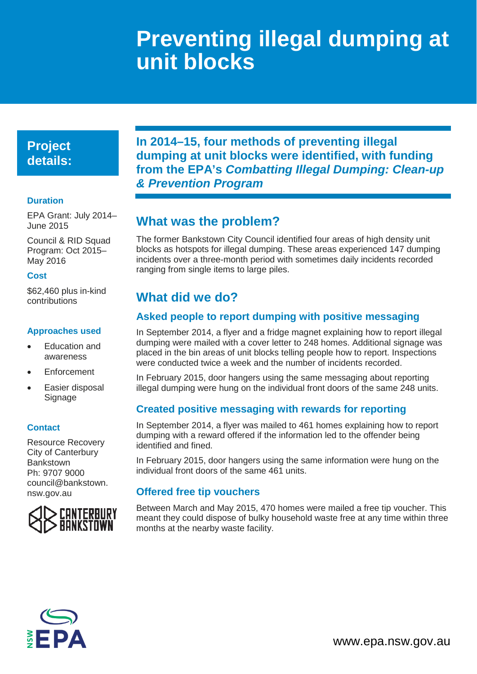# **Preventing illegal dumping at unit blocks**

## **Project details:**

### **Duration**

EPA Grant: July 2014– June 2015

Council & RID Squad Program: Oct 2015– May 2016

#### **Cost**

\$62,460 plus in-kind contributions

### **Approaches used**

- Education and awareness
- **Enforcement**
- Easier disposal Signage

#### **Contact**

Resource Recovery City of Canterbury Bankstown Ph: 9707 9000 [council@bankstown.](mailto:council@bankstown.nsw.gov.au) [nsw.gov.au](mailto:council@bankstown.nsw.gov.au)



**In 2014–15, four methods of preventing illegal dumping at unit blocks were identified, with funding from the EPA's** *Combatting Illegal Dumping: Clean-up & Prevention Program*

## **What was the problem?**

The former Bankstown City Council identified four areas of high density unit blocks as hotspots for illegal dumping. These areas experienced 147 dumping incidents over a three-month period with sometimes daily incidents recorded ranging from single items to large piles.

## **What did we do?**

## **Asked people to report dumping with positive messaging**

In September 2014, a flyer and a fridge magnet explaining how to report illegal dumping were mailed with a cover letter to 248 homes. Additional signage was placed in the bin areas of unit blocks telling people how to report. Inspections were conducted twice a week and the number of incidents recorded.

In February 2015, door hangers using the same messaging about reporting illegal dumping were hung on the individual front doors of the same 248 units.

### **Created positive messaging with rewards for reporting**

In September 2014, a flyer was mailed to 461 homes explaining how to report dumping with a reward offered if the information led to the offender being identified and fined.

In February 2015, door hangers using the same information were hung on the individual front doors of the same 461 units.

### **Offered free tip vouchers**

Between March and May 2015, 470 homes were mailed a free tip voucher. This meant they could dispose of bulky household waste free at any time within three months at the nearby waste facility.

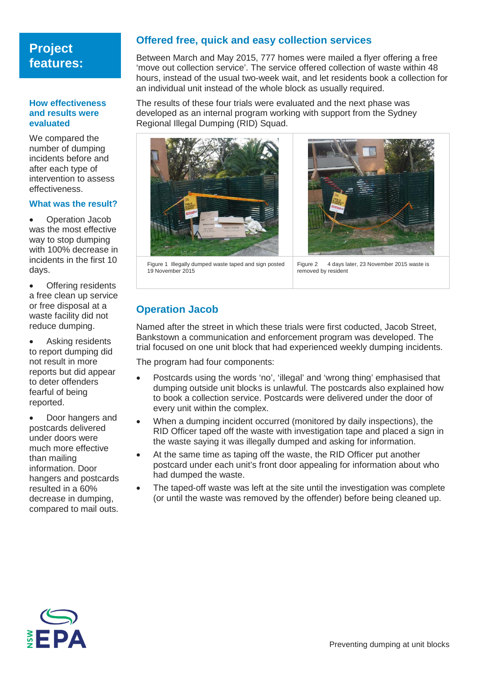## **Project features:**

#### **How effectiveness and results were evaluated**

We compared the number of dumping incidents before and after each type of intervention to assess effectiveness.

#### **What was the result?**

• Operation Jacob was the most effective way to stop dumping with 100% decrease in incidents in the first 10 days.

• Offering residents a free clean up service or free disposal at a waste facility did not reduce dumping.

Asking residents to report dumping did not result in more reports but did appear to deter offenders fearful of being reported.

Door hangers and postcards delivered under doors were much more effective than mailing information. Door hangers and postcards resulted in a 60% decrease in dumping, compared to mail outs.

### **Offered free, quick and easy collection services**

Between March and May 2015, 777 homes were mailed a flyer offering a free 'move out collection service'. The service offered collection of waste within 48 hours, instead of the usual two-week wait, and let residents book a collection for an individual unit instead of the whole block as usually required.

The results of these four trials were evaluated and the next phase was developed as an internal program working with support from the Sydney Regional Illegal Dumping (RID) Squad.





Figure 1 Illegally dumped waste taped and sign posted 19 November 2015

Figure 2 4 days later, 23 November 2015 waste is removed by resident

### **Operation Jacob**

Named after the street in which these trials were first coducted, Jacob Street, Bankstown a communication and enforcement program was developed. The trial focused on one unit block that had experienced weekly dumping incidents.

The program had four components:

- Postcards using the words 'no', 'illegal' and 'wrong thing' emphasised that dumping outside unit blocks is unlawful. The postcards also explained how to book a collection service. Postcards were delivered under the door of every unit within the complex.
- When a dumping incident occurred (monitored by daily inspections), the RID Officer taped off the waste with investigation tape and placed a sign in the waste saying it was illegally dumped and asking for information.
- At the same time as taping off the waste, the RID Officer put another postcard under each unit's front door appealing for information about who had dumped the waste.
- The taped-off waste was left at the site until the investigation was complete (or until the waste was removed by the offender) before being cleaned up.

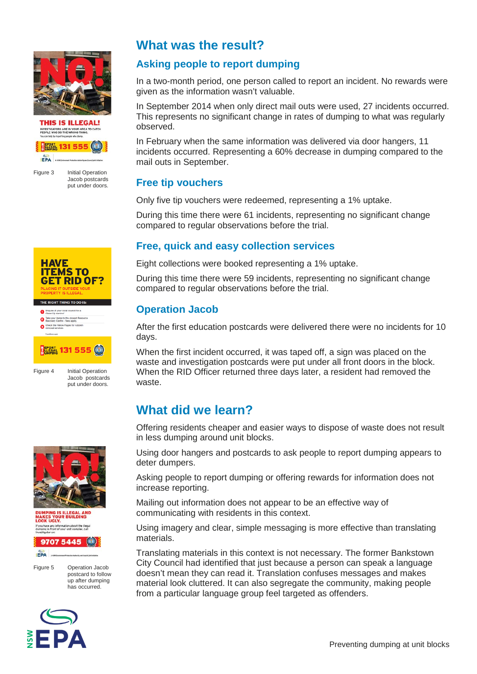

**THIS IS ILLEGAL!** INVESTIGATORS ARE IN YOUR AREA TO CATCH<br>PEOPLE WHO DO THE WRONG THING.



**HAVE ITEMS TO** 

Figure 3 Initial Operation Jacob postcards put under doors.

## **What was the result?**

## **Asking people to report dumping**

In a two-month period, one person called to report an incident. No rewards were given as the information wasn't valuable.

In September 2014 when only direct mail outs were used, 27 incidents occurred. This represents no significant change in rates of dumping to what was regularly observed.

In February when the same information was delivered via door hangers, 11 incidents occurred. Representing a 60% decrease in dumping compared to the mail outs in September.

### **Free tip vouchers**

Only five tip vouchers were redeemed, representing a 1% uptake.

During this time there were 61 incidents, representing no significant change compared to regular observations before the trial.

## **Free, quick and easy collection services**

Eight collections were booked representing a 1% uptake.

During this time there were 59 incidents, representing no significant change compared to regular observations before the trial.

## **Operation Jacob**

After the first education postcards were delivered there were no incidents for 10 days.

When the first incident occurred, it was taped off, a sign was placed on the waste and investigation postcards were put under all front doors in the block. When the RID Officer returned three days later, a resident had removed the waste.

## **What did we learn?**

Offering residents cheaper and easier ways to dispose of waste does not result in less dumping around unit blocks.

Using door hangers and postcards to ask people to report dumping appears to deter dumpers.

Asking people to report dumping or offering rewards for information does not increase reporting.

Mailing out information does not appear to be an effective way of communicating with residents in this context.

Using imagery and clear, simple messaging is more effective than translating materials.

Translating materials in this context is not necessary. The former Bankstown City Council had identified that just because a person can speak a language doesn't mean they can read it. Translation confuses messages and makes material look cluttered. It can also segregate the community, making people from a particular language group feel targeted as offenders.





**IG IS ILLEGAL AND<br>YOUR BUILDING<br>GLY.** 



Figure 5 Operation Jacob postcard to follow up after dumping has occurred.